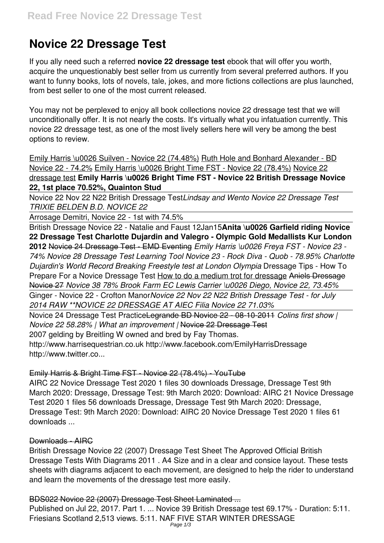# **Novice 22 Dressage Test**

If you ally need such a referred **novice 22 dressage test** ebook that will offer you worth, acquire the unquestionably best seller from us currently from several preferred authors. If you want to funny books, lots of novels, tale, jokes, and more fictions collections are plus launched, from best seller to one of the most current released.

You may not be perplexed to enjoy all book collections novice 22 dressage test that we will unconditionally offer. It is not nearly the costs. It's virtually what you infatuation currently. This novice 22 dressage test, as one of the most lively sellers here will very be among the best options to review.

Emily Harris \u0026 Suilven - Novice 22 (74.48%) Ruth Hole and Bonhard Alexander - BD Novice 22 - 74.2% Emily Harris \u0026 Bright Time FST - Novice 22 (78.4%) Novice 22 dressage test **Emily Harris \u0026 Bright Time FST - Novice 22 British Dressage Novice 22, 1st place 70.52%, Quainton Stud**

Novice 22 Nov 22 N22 British Dressage Test*Lindsay and Wento Novice 22 Dressage Test TRIXIE BELDEN B.D. NOVICE 22*

Arrosage Demitri, Novice 22 - 1st with 74.5%

British Dressage Novice 22 - Natalie and Faust 12Jan15**Anita \u0026 Garfield riding Novice 22 Dressage Test Charlotte Dujardin and Valegro - Olympic Gold Medallists Kur London 2012** Novice 24 Dressage Test - EMD Eventing *Emily Harris \u0026 Freya FST - Novice 23 - 74% Novice 28 Dressage Test Learning Tool Novice 23 - Rock Diva - Quob - 78.95% Charlotte Dujardin's World Record Breaking Freestyle test at London Olympia* Dressage Tips - How To Prepare For a Novice Dressage Test How to do a medium trot for dressage Aniels Dressage Novice 27 *Novice 38 78% Brook Farm EC Lewis Carrier \u0026 Diego, Novice 22, 73.45%* Ginger - Novice 22 - Crofton Manor*Novice 22 Nov 22 N22 British Dressage Test - for July 2014 RAW \*\*NOVICE 22 DRESSAGE AT AIEC Filia Novice 22 71.03%* Novice 24 Dressage Test PracticeLegrande BD Novice 22 - 08-10-2011 *Colins first show | Novice 22 58.28% | What an improvement |* Novice 22 Dressage Test 2007 gelding by Breitling W owned and bred by Fay Thomas. http://www.harrisequestrian.co.uk http://www.facebook.com/EmilyHarrisDressage

http://www.twitter.co...

Emily Harris & Bright Time FST - Novice 22 (78.4%) - YouTube

AIRC 22 Novice Dressage Test 2020 1 files 30 downloads Dressage, Dressage Test 9th March 2020: Dressage, Dressage Test: 9th March 2020: Download: AIRC 21 Novice Dressage Test 2020 1 files 56 downloads Dressage, Dressage Test 9th March 2020: Dressage, Dressage Test: 9th March 2020: Download: AIRC 20 Novice Dressage Test 2020 1 files 61 downloads ...

# Downloads - AIRC

British Dressage Novice 22 (2007) Dressage Test Sheet The Approved Official British Dressage Tests With Diagrams 2011 . A4 Size and in a clear and consice layout. These tests sheets with diagrams adjacent to each movement, are designed to help the rider to understand and learn the movements of the dressage test more easily.

BDS022 Novice 22 (2007) Dressage Test Sheet Laminated ...

Published on Jul 22, 2017. Part 1. ... Novice 39 British Dressage test 69.17% - Duration: 5:11. Friesians Scotland 2,513 views. 5:11. NAF FIVE STAR WINTER DRESSAGE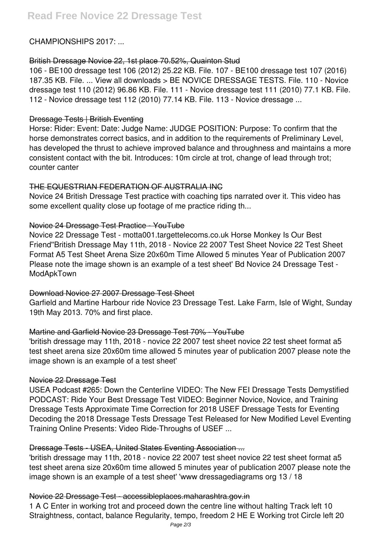CHAMPIONSHIPS 2017: ...

## British Dressage Novice 22, 1st place 70.52%, Quainton Stud

106 - BE100 dressage test 106 (2012) 25.22 KB. File. 107 - BE100 dressage test 107 (2016) 187.35 KB. File. ... View all downloads > BE NOVICE DRESSAGE TESTS. File. 110 - Novice dressage test 110 (2012) 96.86 KB. File. 111 - Novice dressage test 111 (2010) 77.1 KB. File. 112 - Novice dressage test 112 (2010) 77.14 KB. File. 113 - Novice dressage ...

## Dressage Tests | British Eventing

Horse: Rider: Event: Date: Judge Name: JUDGE POSITION: Purpose: To confirm that the horse demonstrates correct basics, and in addition to the requirements of Preliminary Level, has developed the thrust to achieve improved balance and throughness and maintains a more consistent contact with the bit. Introduces: 10m circle at trot, change of lead through trot; counter canter

## THE EQUESTRIAN FEDERATION OF AUSTRALIA INC

Novice 24 British Dressage Test practice with coaching tips narrated over it. This video has some excellent quality close up footage of me practice riding th...

## Novice 24 Dressage Test Practice - YouTube

Novice 22 Dressage Test - motta001.targettelecoms.co.uk Horse Monkey Is Our Best Friend''British Dressage May 11th, 2018 - Novice 22 2007 Test Sheet Novice 22 Test Sheet Format A5 Test Sheet Arena Size 20x60m Time Allowed 5 minutes Year of Publication 2007 Please note the image shown is an example of a test sheet' Bd Novice 24 Dressage Test - ModApkTown

# Download Novice 27 2007 Dressage Test Sheet

Garfield and Martine Harbour ride Novice 23 Dressage Test. Lake Farm, Isle of Wight, Sunday 19th May 2013. 70% and first place.

# Martine and Garfield Novice 23 Dressage Test 70% - YouTube

'british dressage may 11th, 2018 - novice 22 2007 test sheet novice 22 test sheet format a5 test sheet arena size 20x60m time allowed 5 minutes year of publication 2007 please note the image shown is an example of a test sheet'

#### Novice 22 Dressage Test

USEA Podcast #265: Down the Centerline VIDEO: The New FEI Dressage Tests Demystified PODCAST: Ride Your Best Dressage Test VIDEO: Beginner Novice, Novice, and Training Dressage Tests Approximate Time Correction for 2018 USEF Dressage Tests for Eventing Decoding the 2018 Dressage Tests Dressage Test Released for New Modified Level Eventing Training Online Presents: Video Ride-Throughs of USEF ...

# Dressage Tests - USEA, United States Eventing Association ...

'british dressage may 11th, 2018 - novice 22 2007 test sheet novice 22 test sheet format a5 test sheet arena size 20x60m time allowed 5 minutes year of publication 2007 please note the image shown is an example of a test sheet' 'www dressagediagrams org 13 / 18

# Novice 22 Dressage Test - accessibleplaces.maharashtra.gov.in

1 A C Enter in working trot and proceed down the centre line without halting Track left 10 Straightness, contact, balance Regularity, tempo, freedom 2 HE E Working trot Circle left 20